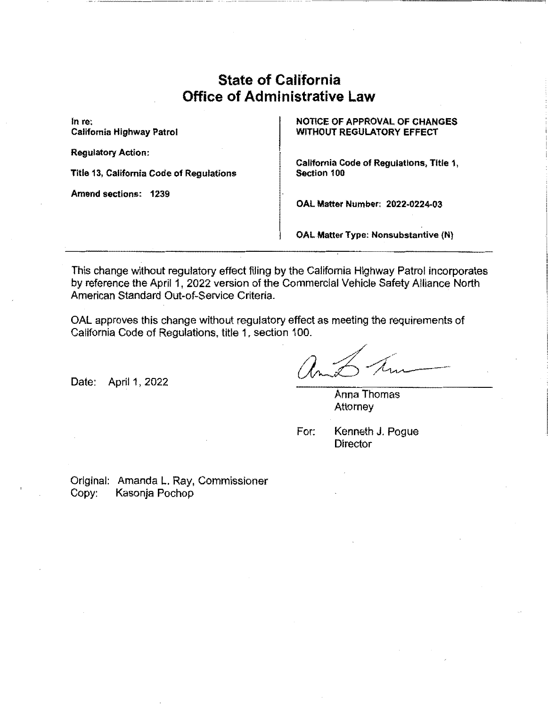# **State of California Office of Administrative Law**

In re: California Highway Patrol

Regulatory Action:

Title 13, California Code of Regulations

Amend sections: 1239

NOTICE OF APPROVAL OF CHANGES WITHOUT REGULATORY EFFECT

California Code of Regulations, Title 1, Section 100

**OAL Matter Number: 2022-0224-03** 

**OAL Matter Type: Nonsubstantive (N)** 

This change without regulatory effect filing by the California Highway Patrol incorporates by reference the April 1, 2022 version of the Commercial Vehicle Safety Alliance North American Standard Out-of-Service Criteria.

OAL approves this change without regulatory effect as meeting the requirements of California Code of Regulations, title 1, section 100.

Date: April 1, 2022

Anna Thomas Attorney

For: Kenneth J. Pogue Director

Original: Amanda L. Ray, Commissioner Copy: Kasonja Pochop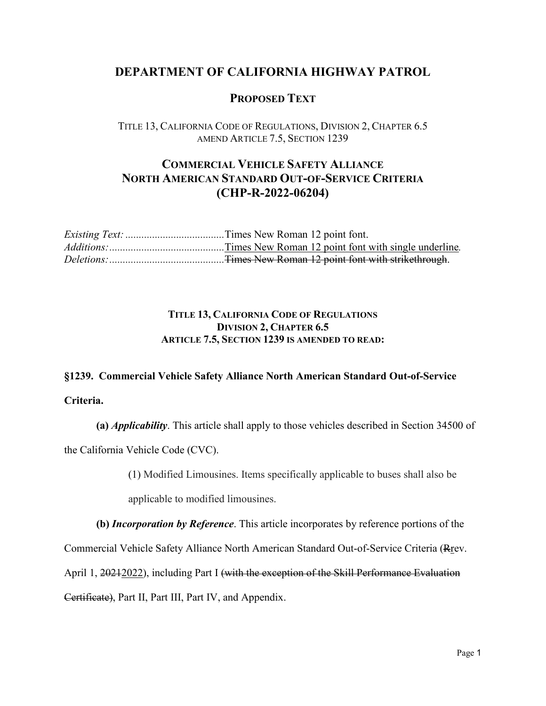### **DEPARTMENT OF CALIFORNIA HIGHWAY PATROL**

#### **PROPOSED TEXT**

TITLE 13, CALIFORNIA CODE OF REGULATIONS, DIVISION 2, CHAPTER 6.5 AMEND ARTICLE 7.5, SECTION 1239

## **COMMERCIAL VEHICLE SAFETY ALLIANCE NORTH AMERICAN STANDARD OUT-OF-SERVICE CRITERIA (CHP-R-2022-06204)**

#### **TITLE 13, CALIFORNIA CODE OF REGULATIONS DIVISION 2, CHAPTER 6.5 ARTICLE 7.5, SECTION 1239 IS AMENDED TO READ:**

# **§1239. Commercial Vehicle Safety Alliance North American Standard Out-of-Service**

**Criteria.**

**(a)** *Applicability*. This article shall apply to those vehicles described in Section 34500 of the California Vehicle Code (CVC).

(1) Modified Limousines. Items specifically applicable to buses shall also be

applicable to modified limousines.

**(b)** *Incorporation by Reference*. This article incorporates by reference portions of the

Commercial Vehicle Safety Alliance North American Standard Out-of-Service Criteria (Rrev.

April 1, 20212022), including Part I (with the exception of the Skill Performance Evaluation

Certificate), Part II, Part III, Part IV, and Appendix.